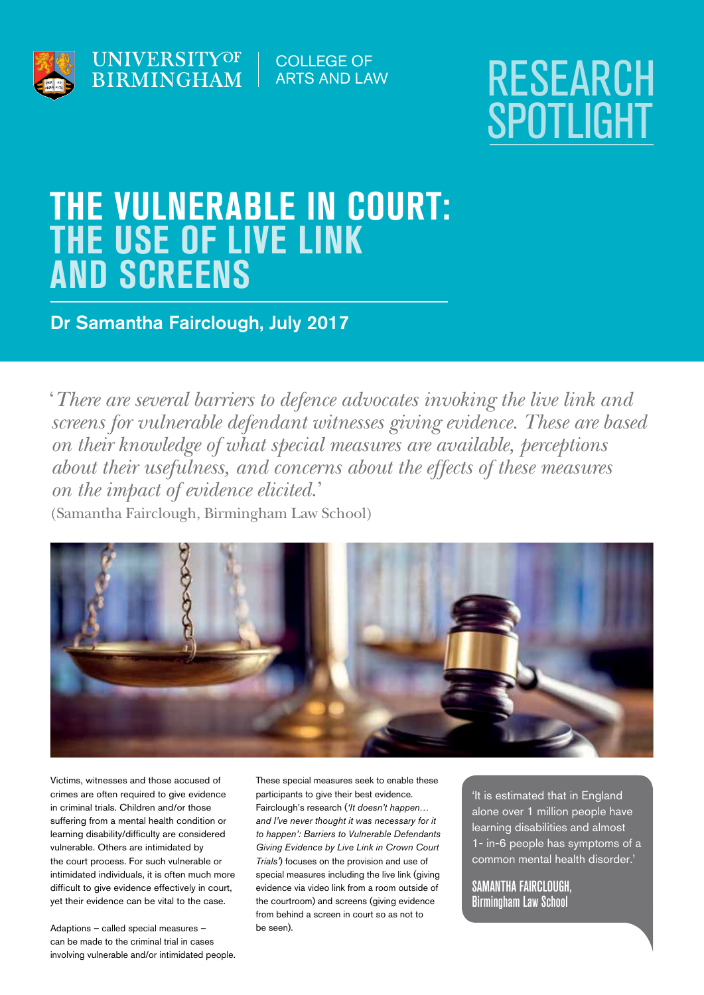



# THE VULNERABLE IN COURT: THE USE OF LIVE LINK AND SCREENS

Dr Samantha Fairclough, July 2017

'*There are several barriers to defence advocates invoking the live link and screens for vulnerable defendant witnesses giving evidence. These are based on their knowledge of what special measures are available, perceptions about their usefulness, and concerns about the effects of these measures on the impact of evidence elicited.*'

(Samantha Fairclough, Birmingham Law School)



Victims, witnesses and those accused of crimes are often required to give evidence in criminal trials. Children and/or those suffering from a mental health condition or learning disability/difficulty are considered vulnerable. Others are intimidated by the court process. For such vulnerable or intimidated individuals, it is often much more difficult to give evidence effectively in court, yet their evidence can be vital to the case.

Adaptions – called special measures – can be made to the criminal trial in cases involving vulnerable and/or intimidated people. These special measures seek to enable these participants to give their best evidence. Fairclough's research (*'It doesn't happen… and I've never thought it was necessary for it to happen': Barriers to Vulnerable Defendants Giving Evidence by Live Link in Crown Court Trials'*) focuses on the provision and use of special measures including the live link (giving evidence via video link from a room outside of the courtroom) and screens (giving evidence from behind a screen in court so as not to be seen).

'It is estimated that in England alone over 1 million people have learning disabilities and almost 1- in-6 people has symptoms of a common mental health disorder.'

SAMANTHA FAIRCLOUGH, Birmingham Law School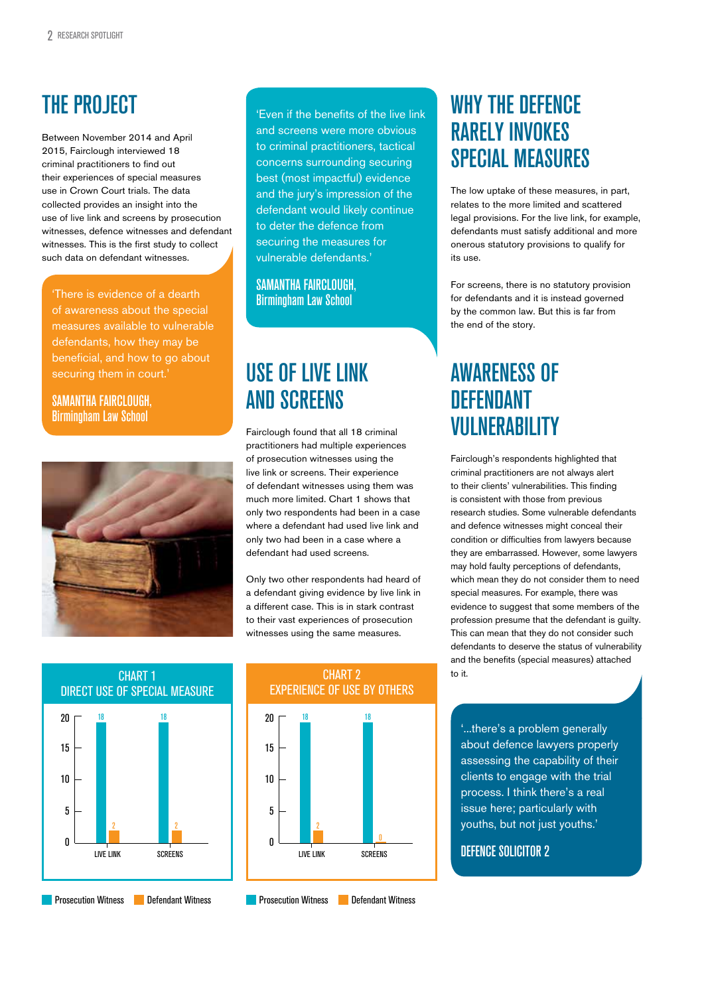## THE PROJECT

Between November 2014 and April 2015, Fairclough interviewed 18 criminal practitioners to find out their experiences of special measures use in Crown Court trials. The data collected provides an insight into the use of live link and screens by prosecution witnesses, defence witnesses and defendant witnesses. This is the first study to collect such data on defendant witnesses.

'There is evidence of a dearth of awareness about the special measures available to vulnerable defendants, how they may be beneficial, and how to go about securing them in court.'

SAMANTHA FAIRCLOUGH, Birmingham Law School



'Even if the benefits of the live link and screens were more obvious to criminal practitioners, tactical concerns surrounding securing best (most impactful) evidence and the jury's impression of the defendant would likely continue to deter the defence from securing the measures for vulnerable defendants.'

SAMANTHA FAIRCLOUGH, Birmingham Law School

#### USE OF LIVE LINK AND SCREENS

Fairclough found that all 18 criminal practitioners had multiple experiences of prosecution witnesses using the live link or screens. Their experience of defendant witnesses using them was much more limited. Chart 1 shows that only two respondents had been in a case where a defendant had used live link and only two had been in a case where a defendant had used screens.

Only two other respondents had heard of a defendant giving evidence by live link in a different case. This is in stark contrast to their vast experiences of prosecution witnesses using the same measures.



SCREENS **The CONTROL CONTROL CONTROL** LIVE LINK SCREENS 0 5 10 15 20 CHART 2 to it. EXPERIENCE OF USE BY OTHERS

#### WHY THE DEFENCE RARELY INVOKES SPECIAL MEASURES

The low uptake of these measures, in part, relates to the more limited and scattered legal provisions. For the live link, for example, defendants must satisfy additional and more onerous statutory provisions to qualify for its use.

For screens, there is no statutory provision for defendants and it is instead governed by the common law. But this is far from the end of the story.

#### AWARENESS OF **DEFENDANT** VULNERABILITY

Fairclough's respondents highlighted that criminal practitioners are not always alert to their clients' vulnerabilities. This finding is consistent with those from previous research studies. Some vulnerable defendants and defence witnesses might conceal their condition or difficulties from lawyers because they are embarrassed. However, some lawyers may hold faulty perceptions of defendants, which mean they do not consider them to need special measures. For example, there was evidence to suggest that some members of the profession presume that the defendant is guilty. This can mean that they do not consider such defendants to deserve the status of vulnerability and the benefits (special measures) attached

'...there's a problem generally about defence lawyers properly assessing the capability of their clients to engage with the trial process. I think there's a real issue here; particularly with youths, but not just youths.'

#### DEFENCE SOLICITOR 2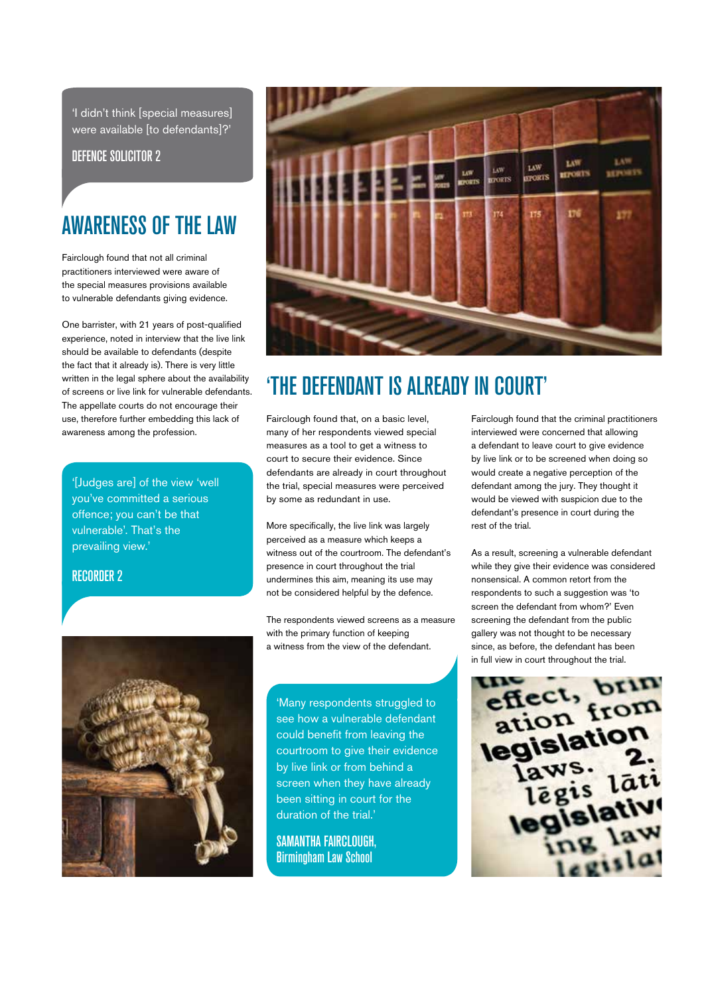'I didn't think [special measures] were available [to defendants]?'

DEFENCE SOLICITOR 2

### AWARENESS OF THE LAW

Fairclough found that not all criminal practitioners interviewed were aware of the special measures provisions available to vulnerable defendants giving evidence.

One barrister, with 21 years of post-qualified experience, noted in interview that the live link should be available to defendants (despite the fact that it already is). There is very little written in the legal sphere about the availability of screens or live link for vulnerable defendants. The appellate courts do not encourage their use, therefore further embedding this lack of awareness among the profession.

'[Judges are] of the view 'well you've committed a serious offence; you can't be that vulnerable'. That's the prevailing view.'

#### RECORDER 2





### 'THE DEFENDANT IS ALREADY IN COURT'

Fairclough found that, on a basic level, many of her respondents viewed special measures as a tool to get a witness to court to secure their evidence. Since defendants are already in court throughout the trial, special measures were perceived by some as redundant in use.

More specifically, the live link was largely perceived as a measure which keeps a witness out of the courtroom. The defendant's presence in court throughout the trial undermines this aim, meaning its use may not be considered helpful by the defence.

The respondents viewed screens as a measure with the primary function of keeping a witness from the view of the defendant.

'Many respondents struggled to see how a vulnerable defendant could benefit from leaving the courtroom to give their evidence by live link or from behind a screen when they have already been sitting in court for the duration of the trial.'

SAMANTHA FAIRCLOUGH, Birmingham Law School

Fairclough found that the criminal practitioners interviewed were concerned that allowing a defendant to leave court to give evidence by live link or to be screened when doing so would create a negative perception of the defendant among the jury. They thought it would be viewed with suspicion due to the defendant's presence in court during the rest of the trial.

As a result, screening a vulnerable defendant while they give their evidence was considered nonsensical. A common retort from the respondents to such a suggestion was 'to screen the defendant from whom?' Even screening the defendant from the public gallery was not thought to be necessary since, as before, the defendant has been in full view in court throughout the trial.

effect, bring ation<br>legislation  $aws$ . s. lāti